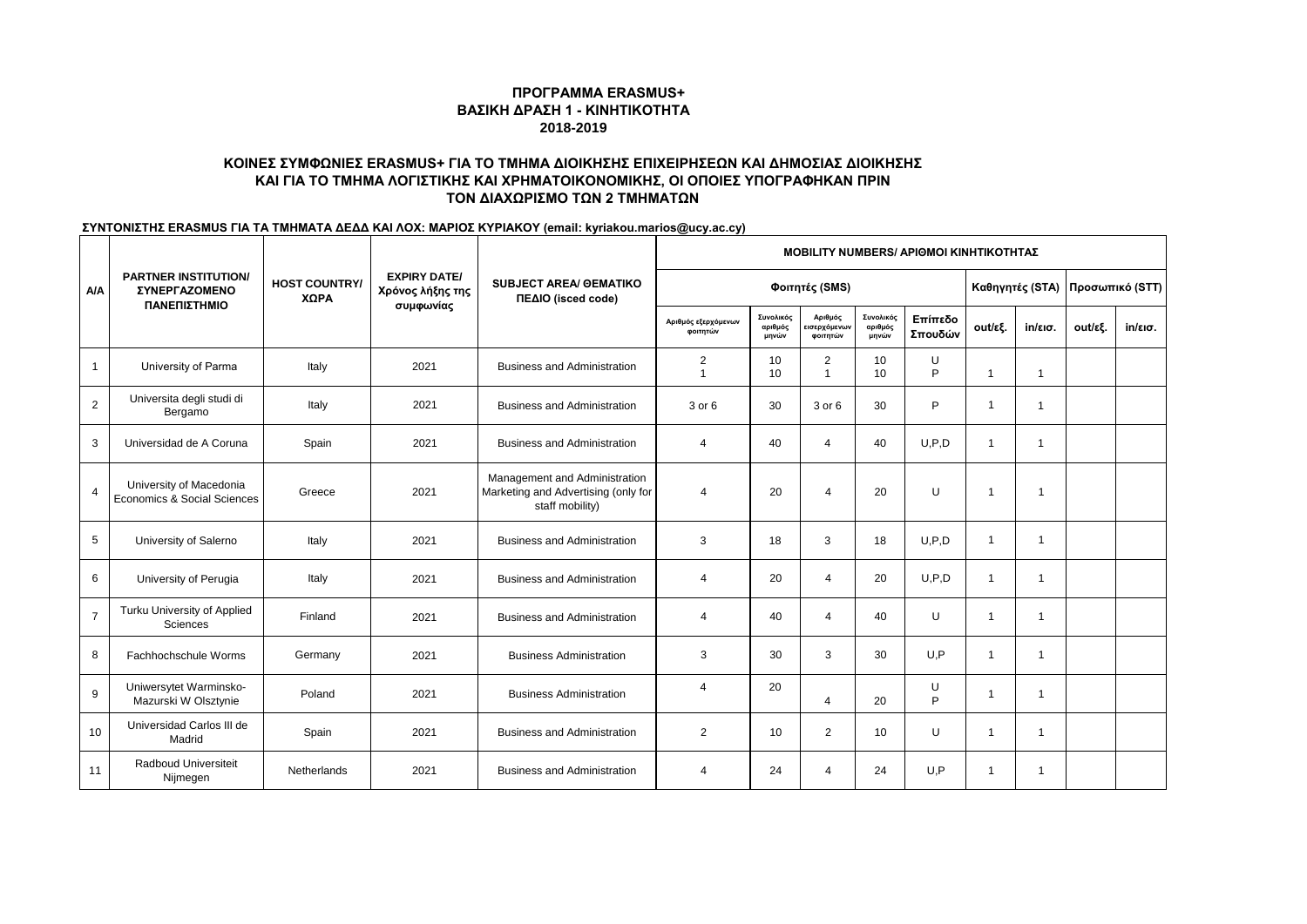# **ΚΟΙΝΕΣ ΣΥΜΦΩΝΙΕΣ ERASMUS+ ΓΙΑ ΤΟ ΤΜΗΜΑ ΔΙΟΙΚΗΣΗΣ ΕΠΙΧΕΙΡΗΣΕΩΝ ΚΑΙ ΔΗΜΟΣΙΑΣ ΔΙΟΙΚΗΣΗΣ ΚΑΙ ΓΙΑ ΤΟ ΤΜΗΜΑ ΛΟΓΙΣΤΙΚΗΣ ΚΑΙ ΧΡΗΜΑΤΟΙΚΟΝΟΜΙΚΗΣ, ΟΙ ΟΠΟΙΕΣ ΥΠΟΓΡΑΦΗΚΑΝ ΠΡΙΝ ΤΟΝ ΔΙΑΧΩΡΙΣΜΟ ΤΩΝ 2 ΤΜΗΜΑΤΩΝ**

|                |                                                                            | <b>HOST COUNTRY/</b><br>ΧΩΡΑ |                                                      | <b>SUBJECT AREA/ GEMATIKO</b><br>ΠΕΔΙΟ (isced code)                                     |                                  |                               |                                     |                               | <b>MOBILITY NUMBERS/ APIOMOI KINHTIKOTHTAΣ</b> |                         |                |         |                                 |  |  |  |  |  |  |
|----------------|----------------------------------------------------------------------------|------------------------------|------------------------------------------------------|-----------------------------------------------------------------------------------------|----------------------------------|-------------------------------|-------------------------------------|-------------------------------|------------------------------------------------|-------------------------|----------------|---------|---------------------------------|--|--|--|--|--|--|
| A/A            | <b>PARTNER INSTITUTION/</b><br><b><i>ΣΥΝΕΡΓΑΖΟΜΕΝΟ</i></b><br>ΠΑΝΕΠΙΣΤΗΜΙΟ |                              | <b>EXPIRY DATE/</b><br>Χρόνος λήξης της<br>συμφωνίας |                                                                                         | Φοιτητές (SMS)                   |                               |                                     |                               |                                                |                         |                |         | Καθηγητές (STA) Προσωπικό (STT) |  |  |  |  |  |  |
|                |                                                                            |                              |                                                      |                                                                                         | Αριθμός εξερχόμενων<br>φοιτητών  | Συνολικός<br>αριθμός<br>μηνών | Αριθμός<br>εισερχόμενων<br>φοιτητών | Συνολικός<br>αριθμός<br>μηνών | Επίπεδο<br>Σπουδών                             | out/εξ.                 | in/εισ.        | out/εξ. | $in/\epsilon$ ισ.               |  |  |  |  |  |  |
| $\mathbf{1}$   | University of Parma                                                        | Italy                        | 2021                                                 | <b>Business and Administration</b>                                                      | $\overline{2}$<br>$\overline{1}$ | 10<br>10                      | 2<br>1                              | 10<br>10                      | U<br>P                                         | $\overline{1}$          | $\overline{1}$ |         |                                 |  |  |  |  |  |  |
| 2              | Universita degli studi di<br>Bergamo                                       | Italy                        | 2021                                                 | <b>Business and Administration</b>                                                      | 3 or 6                           | 30                            | 3 or 6                              | 30                            | P                                              | $\overline{\mathbf{1}}$ | $\mathbf{1}$   |         |                                 |  |  |  |  |  |  |
| 3              | Universidad de A Coruna                                                    | Spain                        | 2021                                                 | <b>Business and Administration</b>                                                      | 4                                | 40                            | $\overline{4}$                      | 40                            | U.P.D                                          | $\overline{1}$          | $\mathbf{1}$   |         |                                 |  |  |  |  |  |  |
| $\overline{4}$ | University of Macedonia<br>Economics & Social Sciences                     | Greece                       | 2021                                                 | Management and Administration<br>Marketing and Advertising (only for<br>staff mobility) | $\overline{4}$                   | 20                            | $\overline{4}$                      | 20                            | U                                              | $\overline{\mathbf{1}}$ | $\mathbf 1$    |         |                                 |  |  |  |  |  |  |
| 5              | University of Salerno                                                      | Italy                        | 2021                                                 | <b>Business and Administration</b>                                                      | 3                                | 18                            | 3                                   | 18                            | U.P.D                                          | $\overline{1}$          | $\mathbf{1}$   |         |                                 |  |  |  |  |  |  |
| 6              | University of Perugia                                                      | Italy                        | 2021                                                 | <b>Business and Administration</b>                                                      | 4                                | 20                            | 4                                   | 20                            | U.P.D                                          | $\overline{\mathbf{1}}$ | -1             |         |                                 |  |  |  |  |  |  |
| $\overline{7}$ | Turku University of Applied<br><b>Sciences</b>                             | Finland                      | 2021                                                 | <b>Business and Administration</b>                                                      | $\overline{4}$                   | 40                            | 4                                   | 40                            | U                                              | $\overline{\mathbf{1}}$ | $\mathbf{1}$   |         |                                 |  |  |  |  |  |  |
| 8              | Fachhochschule Worms                                                       | Germany                      | 2021                                                 | <b>Business Administration</b>                                                          | 3                                | 30                            | 3                                   | 30                            | U, P                                           | $\overline{\mathbf{1}}$ | $\mathbf{1}$   |         |                                 |  |  |  |  |  |  |
| 9              | Uniwersytet Warminsko-<br>Mazurski W Olsztynie                             | Poland                       | 2021                                                 | <b>Business Administration</b>                                                          | $\overline{4}$                   | 20                            | $\overline{4}$                      | 20                            | U<br>P                                         | $\overline{1}$          | $\mathbf{1}$   |         |                                 |  |  |  |  |  |  |
| 10             | Universidad Carlos III de<br>Madrid                                        | Spain                        | 2021                                                 | <b>Business and Administration</b>                                                      | $\overline{2}$                   | 10                            | 2                                   | 10                            | U                                              | $\overline{1}$          | $\mathbf{1}$   |         |                                 |  |  |  |  |  |  |
| 11             | Radboud Universiteit<br>Nijmegen                                           | Netherlands                  | 2021                                                 | <b>Business and Administration</b>                                                      | $\boldsymbol{4}$                 | 24                            | 4                                   | 24                            | U.P                                            | -1                      | -1             |         |                                 |  |  |  |  |  |  |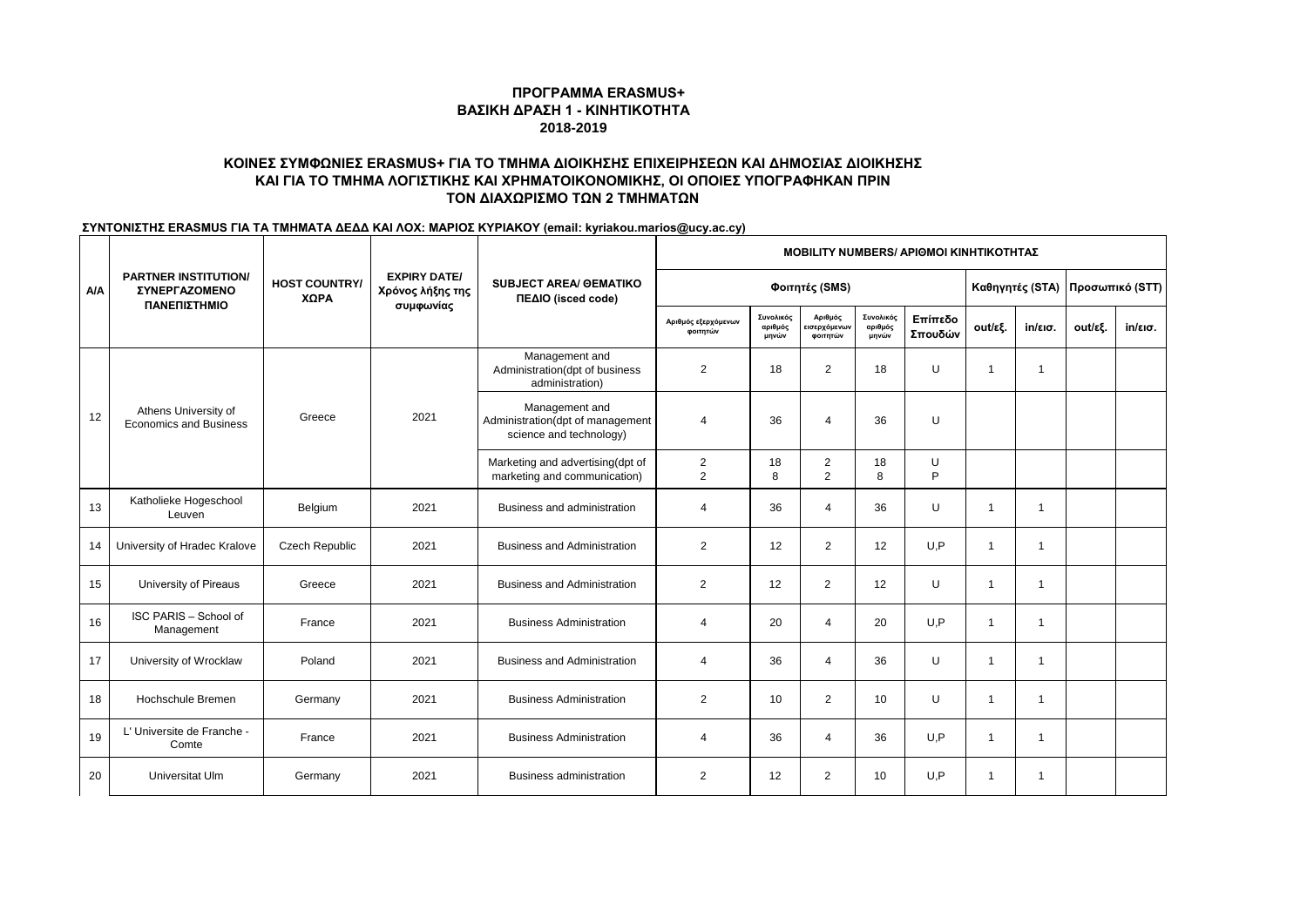# **ΚΟΙΝΕΣ ΣΥΜΦΩΝΙΕΣ ERASMUS+ ΓΙΑ ΤΟ ΤΜΗΜΑ ΔΙΟΙΚΗΣΗΣ ΕΠΙΧΕΙΡΗΣΕΩΝ ΚΑΙ ΔΗΜΟΣΙΑΣ ΔΙΟΙΚΗΣΗΣ ΚΑΙ ΓΙΑ ΤΟ ΤΜΗΜΑ ΛΟΓΙΣΤΙΚΗΣ ΚΑΙ ΧΡΗΜΑΤΟΙΚΟΝΟΜΙΚΗΣ, ΟΙ ΟΠΟΙΕΣ ΥΠΟΓΡΑΦΗΚΑΝ ΠΡΙΝ ΤΟΝ ΔΙΑΧΩΡΙΣΜΟ ΤΩΝ 2 ΤΜΗΜΑΤΩΝ**

|     |                                                                     | <b>HOST COUNTRY/</b><br>ΧΩΡΑ |                                                      | <b>SUBJECT AREA/ GEMATIKO</b><br>ΠΕΔΙΟ (isced code)                           | <b>MOBILITY NUMBERS/ APIOMOI KINHTIKOTHTAΣ</b> |                               |                     |                               |                    |                         |                   |         |                                   |  |
|-----|---------------------------------------------------------------------|------------------------------|------------------------------------------------------|-------------------------------------------------------------------------------|------------------------------------------------|-------------------------------|---------------------|-------------------------------|--------------------|-------------------------|-------------------|---------|-----------------------------------|--|
| A/A | <b>PARTNER INSTITUTION/</b><br><b>ΣΥΝΕΡΓΑΖΟΜΕΝΟ</b><br>ΠΑΝΕΠΙΣΤΗΜΙΟ |                              | <b>EXPIRY DATE/</b><br>Χρόνος λήξης της<br>συμφωνίας |                                                                               | Φοιτητές (SMS)                                 |                               |                     |                               |                    |                         |                   |         | Καθηγητές (STA)   Προσωπικό (STT) |  |
|     |                                                                     |                              |                                                      |                                                                               | Αριθμός εξερχόμενων<br>φοιτητών                | Συνολικός<br>αριθμός<br>μηνών | Αριθμός<br>φοιτητών | Συνολικός<br>αριθμός<br>μηνών | Επίπεδο<br>Σπουδών | out/εξ.                 | $in/\epsilon$ ισ. | out/εξ. | $in/\epsilon$ ισ.                 |  |
| 12  | Athens University of<br><b>Economics and Business</b>               | Greece                       | 2021                                                 | Management and<br>Administration(dpt of business<br>administration)           | $\overline{2}$                                 | 18                            | $\overline{2}$      | 18                            | U                  | $\overline{\mathbf{1}}$ | $\overline{1}$    |         |                                   |  |
|     |                                                                     |                              |                                                      | Management and<br>Administration(dpt of management<br>science and technology) | 4                                              | 36                            | $\overline{4}$      | 36                            | U                  |                         |                   |         |                                   |  |
|     |                                                                     |                              |                                                      | Marketing and advertising(dpt of<br>marketing and communication)              | $\overline{2}$<br>$\overline{2}$               | 18<br>8                       | 2<br>$\overline{2}$ | 18<br>8                       | U<br>P             |                         |                   |         |                                   |  |
| 13  | Katholieke Hogeschool<br>Leuven                                     | Belgium                      | 2021                                                 | Business and administration                                                   | 4                                              | 36                            | 4                   | 36                            | U                  | $\overline{1}$          | -1                |         |                                   |  |
| 14  | University of Hradec Kralove                                        | Czech Republic               | 2021                                                 | <b>Business and Administration</b>                                            | $\overline{2}$                                 | 12                            | $\overline{2}$      | 12                            | U, P               | $\overline{\mathbf{1}}$ | -1                |         |                                   |  |
| 15  | University of Pireaus                                               | Greece                       | 2021                                                 | <b>Business and Administration</b>                                            | 2                                              | 12                            | 2                   | 12                            | U                  | $\overline{1}$          | $\overline{1}$    |         |                                   |  |
| 16  | ISC PARIS - School of<br>Management                                 | France                       | 2021                                                 | <b>Business Administration</b>                                                | 4                                              | 20                            | $\overline{4}$      | 20                            | U, P               | $\overline{1}$          | $\overline{1}$    |         |                                   |  |
| 17  | University of Wrocklaw                                              | Poland                       | 2021                                                 | <b>Business and Administration</b>                                            | 4                                              | 36                            | $\overline{4}$      | 36                            | U                  | -1                      | $\mathbf{1}$      |         |                                   |  |
| 18  | Hochschule Bremen                                                   | Germany                      | 2021                                                 | <b>Business Administration</b>                                                | $\overline{2}$                                 | 10                            | $\overline{2}$      | 10                            | U                  | $\overline{1}$          | -1                |         |                                   |  |
| 19  | L' Universite de Franche -<br>Comte                                 | France                       | 2021                                                 | <b>Business Administration</b>                                                | 4                                              | 36                            | 4                   | 36                            | U, P               | $\overline{1}$          | $\overline{1}$    |         |                                   |  |
| 20  | Universitat Ulm                                                     | Germany                      | 2021                                                 | <b>Business administration</b>                                                | $\overline{2}$                                 | 12                            | $\overline{2}$      | 10                            | U, P               |                         | -1                |         |                                   |  |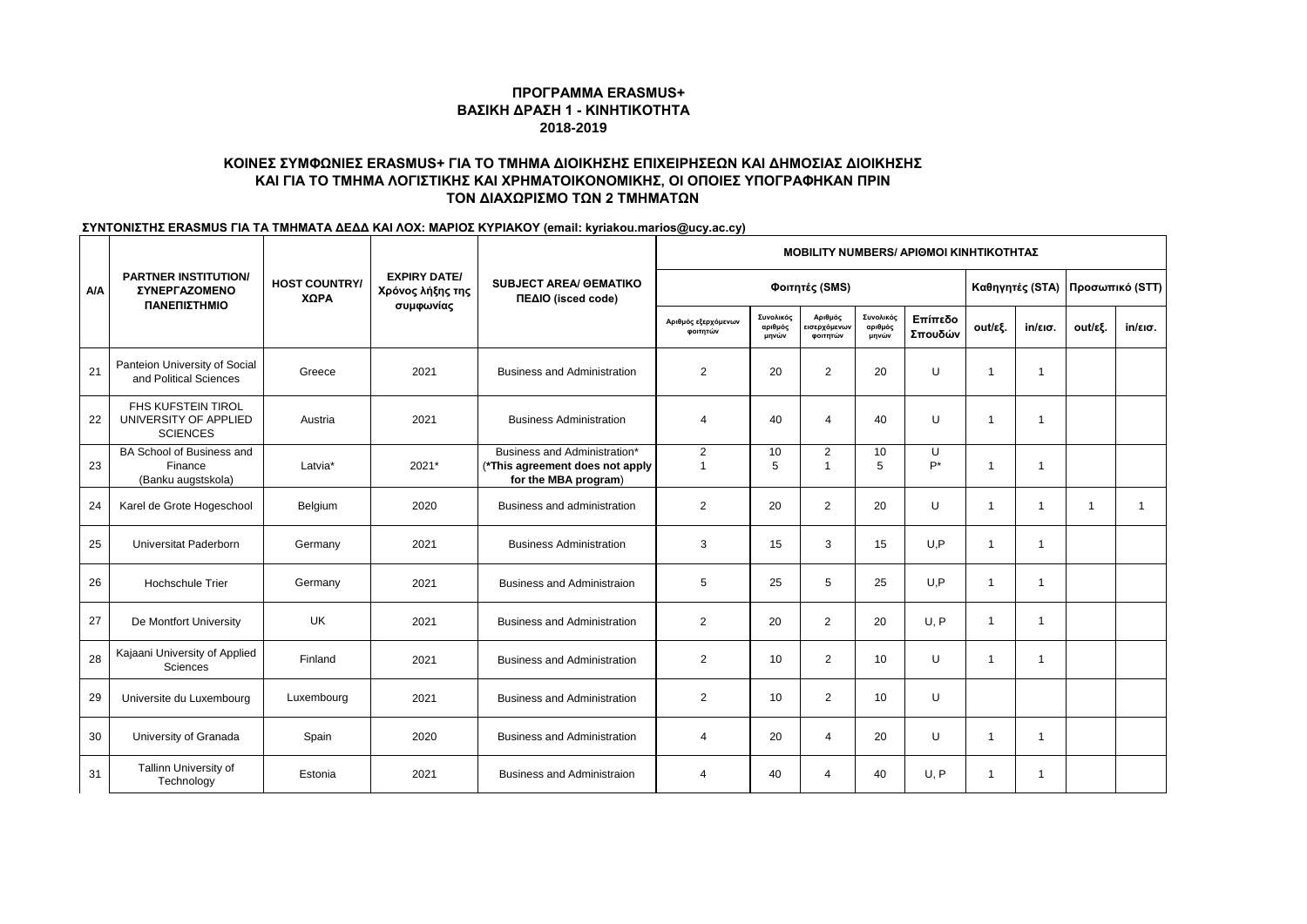# **ΚΟΙΝΕΣ ΣΥΜΦΩΝΙΕΣ ERASMUS+ ΓΙΑ ΤΟ ΤΜΗΜΑ ΔΙΟΙΚΗΣΗΣ ΕΠΙΧΕΙΡΗΣΕΩΝ ΚΑΙ ΔΗΜΟΣΙΑΣ ΔΙΟΙΚΗΣΗΣ ΚΑΙ ΓΙΑ ΤΟ ΤΜΗΜΑ ΛΟΓΙΣΤΙΚΗΣ ΚΑΙ ΧΡΗΜΑΤΟΙΚΟΝΟΜΙΚΗΣ, ΟΙ ΟΠΟΙΕΣ ΥΠΟΓΡΑΦΗΚΑΝ ΠΡΙΝ ΤΟΝ ΔΙΑΧΩΡΙΣΜΟ ΤΩΝ 2 ΤΜΗΜΑΤΩΝ**

|     | <b>PARTNER INSTITUTION/</b><br><b><i>ΣΥΝΕΡΓΑΖΟΜΕΝΟ</i></b><br>ΠΑΝΕΠΙΣΤΗΜΙΟ | <b>HOST COUNTRY/</b><br>ΧΩΡΑ |                                                      | <b>SUBJECT AREA/ OEMATIKO</b><br>ΠΕΔΙΟ (isced code)                                     |                                  | <b>MOBILITY NUMBERS/ APIOMOI KINHTIKOTHTAΣ</b> |                                     |                               |                    |                |              |              |                                 |  |
|-----|----------------------------------------------------------------------------|------------------------------|------------------------------------------------------|-----------------------------------------------------------------------------------------|----------------------------------|------------------------------------------------|-------------------------------------|-------------------------------|--------------------|----------------|--------------|--------------|---------------------------------|--|
| A/A |                                                                            |                              | <b>EXPIRY DATE/</b><br>Χρόνος λήξης της<br>συμφωνίας |                                                                                         | Φοιτητές (SMS)                   |                                                |                                     |                               |                    |                |              |              | Καθηγητές (STA) Προσωπικό (STT) |  |
|     |                                                                            |                              |                                                      |                                                                                         | Αριθμός εξερχόμενων<br>φοιτητών  | Συνολικός<br>αριθμός<br>μηνών                  | Αριθμός<br>εισερχόμενων<br>φοιτητών | Συνολικός<br>αριθμός<br>μηνών | Επίπεδο<br>Σπουδών | out/εξ.        | in/εισ.      | out/εξ.      | $in/\epsilon$ ισ.               |  |
| 21  | Panteion University of Social<br>and Political Sciences                    | Greece                       | 2021                                                 | <b>Business and Administration</b>                                                      | $\overline{2}$                   | 20                                             | 2                                   | 20                            | U                  | $\overline{1}$ | $\mathbf{1}$ |              |                                 |  |
| 22  | FHS KUFSTEIN TIROL<br>UNIVERSITY OF APPLIED<br><b>SCIENCES</b>             | Austria                      | 2021                                                 | <b>Business Administration</b>                                                          | $\overline{4}$                   | 40                                             | 4                                   | 40                            | U                  | $\overline{1}$ | $\mathbf 1$  |              |                                 |  |
| 23  | BA School of Business and<br>Finance<br>(Banku augstskola)                 | Latvia*                      | 2021*                                                | Business and Administration*<br>(*This agreement does not apply<br>for the MBA program) | $\overline{2}$<br>$\overline{1}$ | 10<br>5                                        | $\overline{2}$<br>$\overline{1}$    | 10<br>5                       | U<br>$P^*$         | $\mathbf{1}$   | $\mathbf{1}$ |              |                                 |  |
| 24  | Karel de Grote Hogeschool                                                  | Belgium                      | 2020                                                 | Business and administration                                                             | $\overline{2}$                   | 20                                             | $\overline{2}$                      | 20                            | U                  | $\overline{1}$ | $\mathbf 1$  | $\mathbf{1}$ |                                 |  |
| 25  | Universitat Paderborn                                                      | Germany                      | 2021                                                 | <b>Business Administration</b>                                                          | 3                                | 15                                             | 3                                   | 15                            | U.P                | $\mathbf{1}$   | 1            |              |                                 |  |
| 26  | <b>Hochschule Trier</b>                                                    | Germany                      | 2021                                                 | <b>Business and Administraion</b>                                                       | 5                                | 25                                             | 5                                   | 25                            | U.P                | $\mathbf{1}$   | -1           |              |                                 |  |
| 27  | De Montfort University                                                     | <b>UK</b>                    | 2021                                                 | <b>Business and Administration</b>                                                      | $\overline{2}$                   | 20                                             | $\overline{2}$                      | 20                            | U.P                | $\mathbf{1}$   | $\mathbf{1}$ |              |                                 |  |
| 28  | Kajaani University of Applied<br>Sciences                                  | Finland                      | 2021                                                 | <b>Business and Administration</b>                                                      | $\overline{2}$                   | 10                                             | 2                                   | 10                            | U                  | $\mathbf{1}$   | $\mathbf{1}$ |              |                                 |  |
| 29  | Universite du Luxembourg                                                   | Luxembourg                   | 2021                                                 | <b>Business and Administration</b>                                                      | $\overline{2}$                   | 10                                             | 2                                   | 10                            | U                  |                |              |              |                                 |  |
| 30  | University of Granada                                                      | Spain                        | 2020                                                 | <b>Business and Administration</b>                                                      | 4                                | 20                                             | 4                                   | 20                            | U                  | $\mathbf{1}$   | $\mathbf 1$  |              |                                 |  |
| 31  | Tallinn University of<br>Technology                                        | Estonia                      | 2021                                                 | <b>Business and Administraion</b>                                                       | Δ                                | 40                                             | $\overline{4}$                      | 40                            | U.P                | -1             | -1           |              |                                 |  |